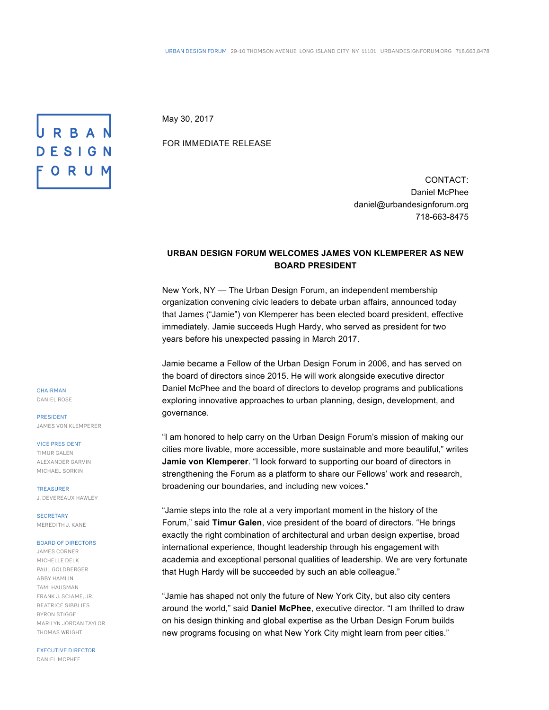May 30, 2017

FOR IMMEDIATE RELEASE

CONTACT: Daniel McPhee daniel@urbandesignforum.org 718-663-8475

## **URBAN DESIGN FORUM WELCOMES JAMES VON KLEMPERER AS NEW BOARD PRESIDENT**

New York, NY — The Urban Design Forum, an independent membership organization convening civic leaders to debate urban affairs, announced today that James ("Jamie") von Klemperer has been elected board president, effective immediately. Jamie succeeds Hugh Hardy, who served as president for two years before his unexpected passing in March 2017.

Jamie became a Fellow of the Urban Design Forum in 2006, and has served on the board of directors since 2015. He will work alongside executive director Daniel McPhee and the board of directors to develop programs and publications exploring innovative approaches to urban planning, design, development, and governance.

"I am honored to help carry on the Urban Design Forum's mission of making our cities more livable, more accessible, more sustainable and more beautiful," writes **Jamie von Klemperer**. "I look forward to supporting our board of directors in strengthening the Forum as a platform to share our Fellows' work and research, broadening our boundaries, and including new voices."

"Jamie steps into the role at a very important moment in the history of the Forum," said **Timur Galen**, vice president of the board of directors. "He brings exactly the right combination of architectural and urban design expertise, broad international experience, thought leadership through his engagement with academia and exceptional personal qualities of leadership. We are very fortunate that Hugh Hardy will be succeeded by such an able colleague."

"Jamie has shaped not only the future of New York City, but also city centers around the world," said **Daniel McPhee**, executive director. "I am thrilled to draw on his design thinking and global expertise as the Urban Design Forum builds new programs focusing on what New York City might learn from peer cities."

CHAIRMAN DANIEL ROSE

PRESIDENT JAMES VON KLEMPERER

URBAN

DESIGN

ORUM

VICE PRESIDENT TIMUR GALEN ALEXANDER GARVIN MICHAEL SORKIN

TREASURER J. DEVEREAUX HAWLEY

**SECRETARY** MEREDITH J. KANE

## BOARD OF DIRECTORS

JAMES CORNER MICHELLE DELK PAUL GOLDBERGER ABBY HAMLIN TAMI HAUSMAN FRANK J. SCIAME, JR. BEATRICE SIBBLIES BYRON STIGGE MARILYN JORDAN TAYLOR THOMAS WRIGHT

EXECUTIVE DIRECTOR

DANIEL MCPHEE